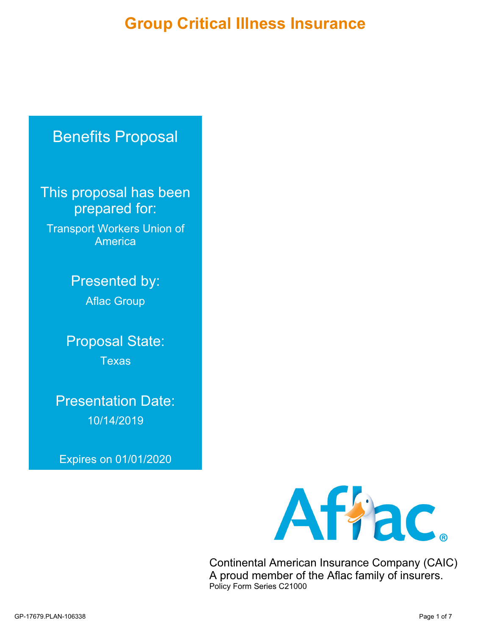# **Group Critical Illness Insurance**

# Benefits Proposal

This proposal has been prepared for:

Transport Workers Union of America

> Presented by: Aflac Group

Proposal State: **Texas** 

Presentation Date: 10/14/2019

Expires on 01/01/2020



Continental American Insurance Company (CAIC) A proud member of the Aflac family of insurers. Policy Form Series C21000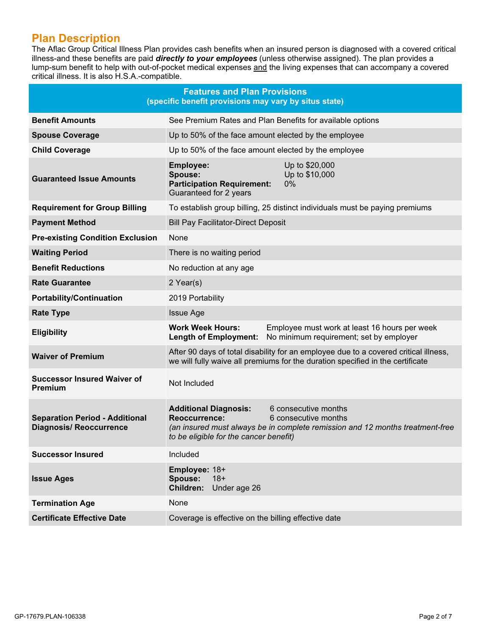# **Plan Description**

The Aflac Group Critical Illness Plan provides cash benefits when an insured person is diagnosed with a covered critical illness-and these benefits are paid *directly to your employees* (unless otherwise assigned). The plan provides a lump-sum benefit to help with out-of-pocket medical expenses and the living expenses that can accompany a covered critical illness. It is also H.S.A.-compatible.

|                                                                         | <b>Features and Plan Provisions</b><br>(specific benefit provisions may vary by situs state)   |                                                                                                                                                                        |
|-------------------------------------------------------------------------|------------------------------------------------------------------------------------------------|------------------------------------------------------------------------------------------------------------------------------------------------------------------------|
| <b>Benefit Amounts</b>                                                  |                                                                                                | See Premium Rates and Plan Benefits for available options                                                                                                              |
| <b>Spouse Coverage</b>                                                  | Up to 50% of the face amount elected by the employee                                           |                                                                                                                                                                        |
| <b>Child Coverage</b>                                                   | Up to 50% of the face amount elected by the employee                                           |                                                                                                                                                                        |
| <b>Guaranteed Issue Amounts</b>                                         | <b>Employee:</b><br>Spouse:<br><b>Participation Requirement:</b><br>Guaranteed for 2 years     | Up to \$20,000<br>Up to \$10,000<br>$0\%$                                                                                                                              |
| <b>Requirement for Group Billing</b>                                    |                                                                                                | To establish group billing, 25 distinct individuals must be paying premiums                                                                                            |
| <b>Payment Method</b>                                                   | <b>Bill Pay Facilitator-Direct Deposit</b>                                                     |                                                                                                                                                                        |
| <b>Pre-existing Condition Exclusion</b>                                 | None                                                                                           |                                                                                                                                                                        |
| <b>Waiting Period</b>                                                   | There is no waiting period                                                                     |                                                                                                                                                                        |
| <b>Benefit Reductions</b>                                               | No reduction at any age                                                                        |                                                                                                                                                                        |
| <b>Rate Guarantee</b>                                                   | 2 Year(s)                                                                                      |                                                                                                                                                                        |
| <b>Portability/Continuation</b>                                         | 2019 Portability                                                                               |                                                                                                                                                                        |
| <b>Rate Type</b>                                                        | <b>Issue Age</b>                                                                               |                                                                                                                                                                        |
| <b>Eligibility</b>                                                      | <b>Work Week Hours:</b><br><b>Length of Employment:</b>                                        | Employee must work at least 16 hours per week<br>No minimum requirement; set by employer                                                                               |
| <b>Waiver of Premium</b>                                                |                                                                                                | After 90 days of total disability for an employee due to a covered critical illness,<br>we will fully waive all premiums for the duration specified in the certificate |
| <b>Successor Insured Waiver of</b><br><b>Premium</b>                    | Not Included                                                                                   |                                                                                                                                                                        |
| <b>Separation Period - Additional</b><br><b>Diagnosis/ Reoccurrence</b> | <b>Additional Diagnosis:</b><br><b>Reoccurrence:</b><br>to be eligible for the cancer benefit) | 6 consecutive months<br>6 consecutive months<br>(an insured must always be in complete remission and 12 months treatment-free                                          |
| <b>Successor Insured</b>                                                | Included                                                                                       |                                                                                                                                                                        |
| <b>Issue Ages</b>                                                       | Employee: 18+<br><b>Spouse:</b><br>$18+$<br>Children:<br>Under age 26                          |                                                                                                                                                                        |
| <b>Termination Age</b>                                                  | None                                                                                           |                                                                                                                                                                        |
| <b>Certificate Effective Date</b>                                       | Coverage is effective on the billing effective date                                            |                                                                                                                                                                        |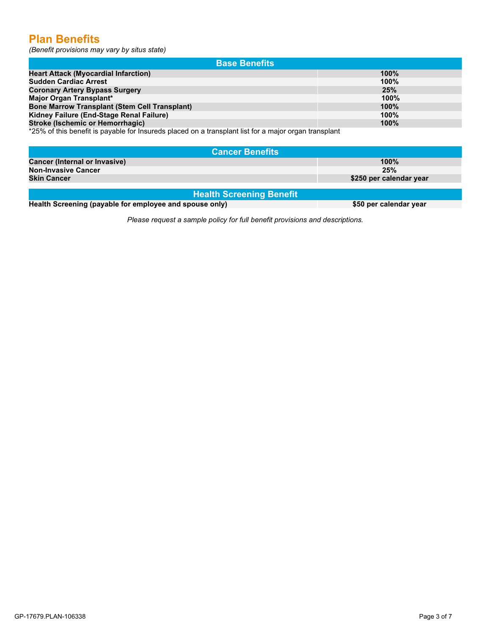# **Plan Benefits**

*(Benefit provisions may vary by situs state)*

| <b>Base Benefits</b>                                 |      |
|------------------------------------------------------|------|
| <b>Heart Attack (Myocardial Infarction)</b>          | 100% |
| <b>Sudden Cardiac Arrest</b>                         | 100% |
| <b>Coronary Artery Bypass Surgery</b>                | 25%  |
| Major Organ Transplant*                              | 100% |
| <b>Bone Marrow Transplant (Stem Cell Transplant)</b> | 100% |
| Kidney Failure (End-Stage Renal Failure)             | 100% |
| Stroke (Ischemic or Hemorrhagic)                     | 100% |
|                                                      |      |

\*25% of this benefit is payable for Insureds placed on a transplant list for a major organ transplant

| <b>Cancer Benefits</b>               |                         |
|--------------------------------------|-------------------------|
| <b>Cancer (Internal or Invasive)</b> | $100\%$                 |
| <b>Non-Invasive Cancer</b>           | 25%                     |
| <b>Skin Cancer</b>                   | \$250 per calendar year |
|                                      |                         |

**Health Screening Benefit**

**Health Screening (payable for employee and spouse only) \$50 per calendar year** 

*Please request a sample policy for full benefit provisions and descriptions.*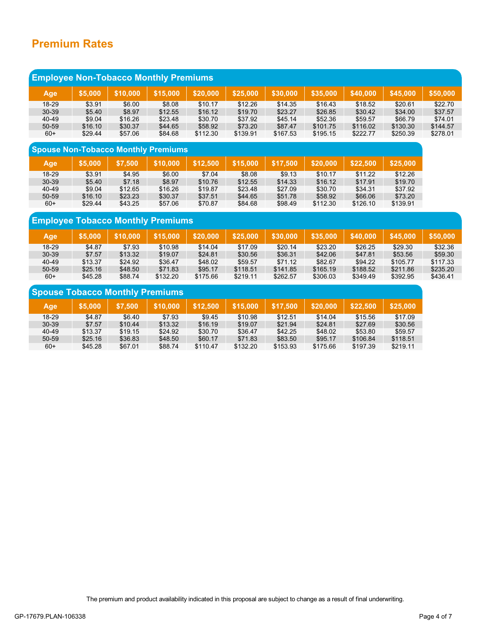# **Premium Rates**

| <b>Employee Non-Tobacco Monthly Premiums</b> |         |          |          |          |          |          |          |          |          |          |
|----------------------------------------------|---------|----------|----------|----------|----------|----------|----------|----------|----------|----------|
| Age                                          | \$5,000 | \$10,000 | \$15,000 | \$20,000 | \$25,000 | \$30,000 | \$35,000 | \$40,000 | \$45,000 | \$50,000 |
| $18-29$                                      | \$3.91  | \$6.00   | \$8.08   | \$10.17  | \$12.26  | \$14.35  | \$16.43  | \$18.52  | \$20.61  | \$22.70  |
| $30 - 39$                                    | \$5.40  | \$8.97   | \$12.55  | \$16.12  | \$19.70  | \$23.27  | \$26.85  | \$30.42  | \$34.00  | \$37.57  |
| 40-49                                        | \$9.04  | \$16.26  | \$23.48  | \$30.70  | \$37.92  | \$45.14  | \$52.36  | \$59.57  | \$66.79  | \$74.01  |
| 50-59                                        | \$16.10 | \$30.37  | \$44.65  | \$58.92  | \$73.20  | \$87.47  | \$101.75 | \$116.02 | \$130.30 | \$144.57 |
| $60+$                                        | \$29.44 | \$57.06  | \$84.68  | \$112.30 | \$139.91 | \$167.53 | \$195.15 | \$222.77 | \$250.39 | \$278.01 |
|                                              |         |          |          |          |          |          |          |          |          |          |

| <b>Spouse Non-Tobacco Monthly Premiums</b> |         |         |          |          |          |          |          |          |          |  |  |
|--------------------------------------------|---------|---------|----------|----------|----------|----------|----------|----------|----------|--|--|
| <b>Age</b>                                 | \$5.000 | \$7.500 | \$10,000 | \$12.500 | \$15.000 | \$17.500 | \$20,000 | \$22.500 | \$25,000 |  |  |
| $18-29$                                    | \$3.91  | \$4.95  | \$6.00   | \$7.04   | \$8.08   | \$9.13   | \$10.17  | \$11.22  | \$12.26  |  |  |
| $30 - 39$                                  | \$5.40  | \$7.18  | \$8.97   | \$10.76  | \$12.55  | \$14.33  | \$16.12  | \$17.91  | \$19.70  |  |  |
| 40-49                                      | \$9.04  | \$12.65 | \$16.26  | \$19.87  | \$23.48  | \$27.09  | \$30.70  | \$34.31  | \$37.92  |  |  |
| $50 - 59$                                  | \$16.10 | \$23.23 | \$30.37  | \$37.51  | \$44.65  | \$51.78  | \$58.92  | \$66.06  | \$73.20  |  |  |
| $60+$                                      | \$29.44 | \$43.25 | \$57.06  | \$70.87  | \$84.68  | \$98.49  | \$112.30 | \$126.10 | \$139.91 |  |  |

## **Employee Tobacco Monthly Premiums**

| Age       | \$5.000 | 610.000 | \$15.000 | <b>S20.000</b> | \$25.000 | \$30.000 | \$35.000 | \$40,000 | \$45.000 | <b>\$50,000</b> |
|-----------|---------|---------|----------|----------------|----------|----------|----------|----------|----------|-----------------|
| 18-29     | \$4.87  | \$7.93  | \$10.98  | \$14.04        | \$17.09  | \$20.14  | \$23.20  | \$26.25  | \$29.30  | \$32.36         |
| $30 - 39$ | \$7.57  | \$13.32 | \$19.07  | \$24.81        | \$30.56  | \$36.31  | \$42.06  | \$47.81  | \$53.56  | \$59.30         |
| 40-49     | \$13.37 | \$24.92 | \$36.47  | \$48.02        | \$59.57  | \$71.12  | \$82.67  | \$94.22  | \$105.77 | \$117.33        |
| 50-59     | \$25.16 | \$48.50 | \$71.83  | \$95.17        | \$118.51 | \$141.85 | \$165.19 | \$188.52 | \$211.86 | \$235.20        |
| $60+$     | \$45.28 | \$88.74 | \$132.20 | \$175.66       | \$219.11 | \$262.57 | \$306.03 | \$349.49 | \$392.95 | \$436.41        |

| <b>Spouse Tobacco Monthly Premiums</b> |         |         |          |          |          |          |          |          |          |  |  |
|----------------------------------------|---------|---------|----------|----------|----------|----------|----------|----------|----------|--|--|
| Age                                    | \$5.000 | \$7.500 | \$10,000 | \$12.500 | \$15,000 | \$17.500 | \$20,000 | \$22.500 | \$25,000 |  |  |
| 18-29                                  | \$4.87  | \$6.40  | \$7.93   | \$9.45   | \$10.98  | \$12.51  | \$14.04  | \$15.56  | \$17.09  |  |  |
| $30 - 39$                              | \$7.57  | \$10.44 | \$13.32  | \$16.19  | \$19.07  | \$21.94  | \$24.81  | \$27.69  | \$30.56  |  |  |
| 40-49                                  | \$13.37 | \$19.15 | \$24.92  | \$30.70  | \$36.47  | \$42.25  | \$48.02  | \$53.80  | \$59.57  |  |  |
| 50-59                                  | \$25.16 | \$36.83 | \$48.50  | \$60.17  | \$71.83  | \$83.50  | \$95.17  | \$106.84 | \$118.51 |  |  |
| $60+$                                  | \$45.28 | \$67.01 | \$88.74  | \$110.47 | \$132.20 | \$153.93 | \$175.66 | \$197.39 | \$219.11 |  |  |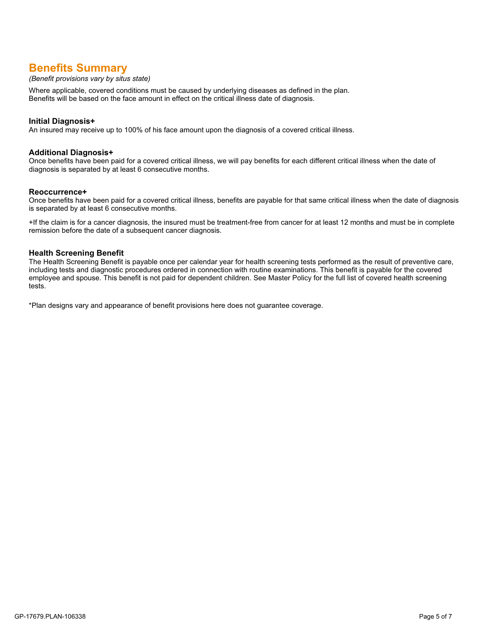# **Benefits Summary**

#### *(Benefit provisions vary by situs state)*

Where applicable, covered conditions must be caused by underlying diseases as defined in the plan. Benefits will be based on the face amount in effect on the critical illness date of diagnosis.

#### **Initial Diagnosis+**

An insured may receive up to 100% of his face amount upon the diagnosis of a covered critical illness.

#### **Additional Diagnosis+**

Once benefits have been paid for a covered critical illness, we will pay benefits for each different critical illness when the date of diagnosis is separated by at least 6 consecutive months.

#### **Reoccurrence+**

Once benefits have been paid for a covered critical illness, benefits are payable for that same critical illness when the date of diagnosis is separated by at least 6 consecutive months.

+If the claim is for a cancer diagnosis, the insured must be treatment-free from cancer for at least 12 months and must be in complete remission before the date of a subsequent cancer diagnosis.

#### **Health Screening Benefit**

The Health Screening Benefit is payable once per calendar year for health screening tests performed as the result of preventive care, including tests and diagnostic procedures ordered in connection with routine examinations. This benefit is payable for the covered employee and spouse. This benefit is not paid for dependent children. See Master Policy for the full list of covered health screening tests.

\*Plan designs vary and appearance of benefit provisions here does not guarantee coverage.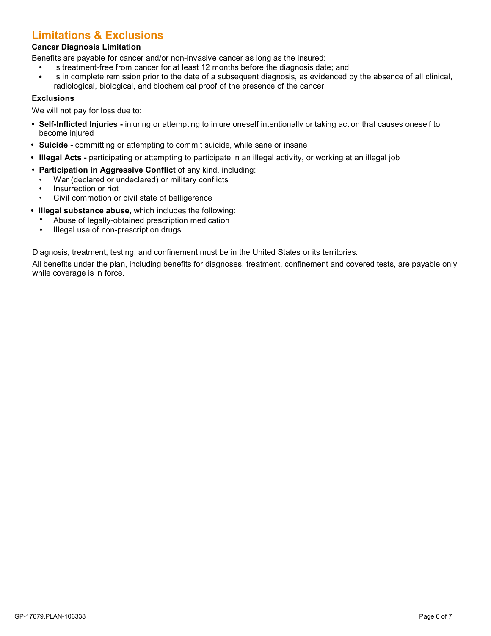# **Limitations & Exclusions**

#### **Cancer Diagnosis Limitation**

Benefits are payable for cancer and/or non-invasive cancer as long as the insured:

- **•** Is treatment-free from cancer for at least 12 months before the diagnosis date; and
- **•** Is in complete remission prior to the date of a subsequent diagnosis, as evidenced by the absence of all clinical, radiological, biological, and biochemical proof of the presence of the cancer.

#### **Exclusions**

We will not pay for loss due to:

- **• Self-Inflicted Injuries -** injuring or attempting to injure oneself intentionally or taking action that causes oneself to become injured
- **• Suicide -** committing or attempting to commit suicide, while sane or insane
- **• Illegal Acts -**participating or attempting to participate in an illegal activity, or working at an illegal job
- **• Participation in Aggressive Conflict** of any kind, including:
	- War (declared or undeclared) or military conflicts
	- Insurrection or riot
	- Civil commotion or civil state of belligerence
- **• Illegal substance abuse,** which includes the following:
	- **•** Abuse of legally-obtained prescription medication
	- **•** Illegal use of non-prescription drugs

Diagnosis, treatment, testing, and confinement must be in the United States or its territories.

All benefits under the plan, including benefits for diagnoses, treatment, confinement and covered tests, are payable only while coverage is in force.